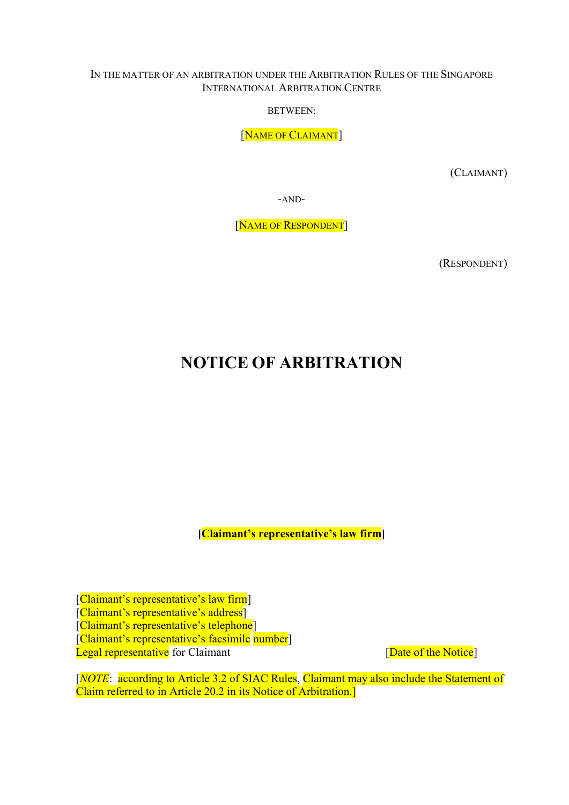#### IN THE MATTER OF AN ARBITRATION UNDER THE ARBITRATION RULES OF THE SINGAPORE INTERNATIONAL ARBITRATION CENTRE

BETWEEN:

[NAME OF CLAIMANT]

(CLAIMANT)

-AND-

[NAME OF RESPONDENT]

(RESPONDENT)

# NOTICE OF ARBITRATION

[Claimant's representative's law firm]

[Claimant's representative's law firm] [Claimant's representative's address] [Claimant's representative's telephone] [Claimant's representative's facsimile number] Legal representative for Claimant **Exercise 1** and  $\alpha$  [Date of the Notice]

[NOTE: according to Article 3.2 of SIAC Rules, Claimant may also include the Statement of Claim referred to in Article 20.2 in its Notice of Arbitration.]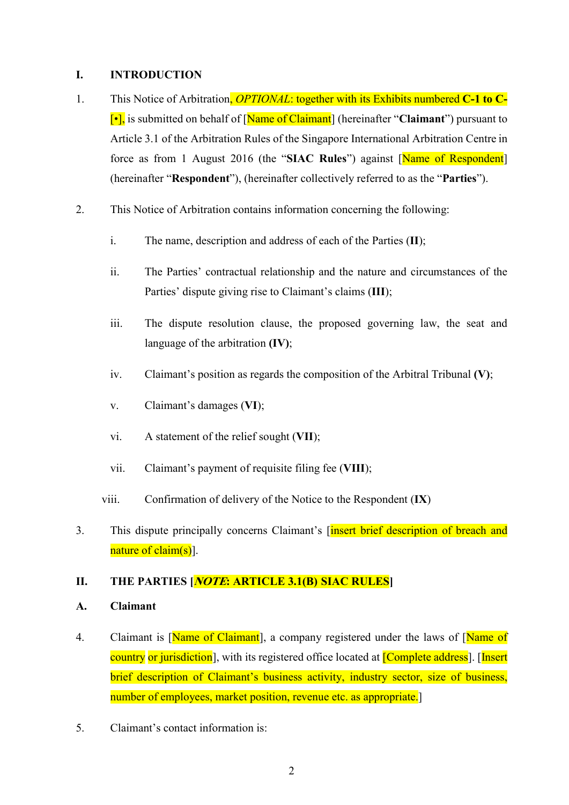#### I. INTRODUCTION

- 1. This Notice of Arbitration, *OPTIONAL*: together with its Exhibits numbered C-1 to C- $\lceil \cdot \rceil$ , is submitted on behalf of  $\lceil \text{Name of Claimant} \rceil$  (hereinafter "Claimant") pursuant to Article 3.1 of the Arbitration Rules of the Singapore International Arbitration Centre in force as from 1 August 2016 (the "SIAC Rules") against [Name of Respondent] (hereinafter "Respondent"), (hereinafter collectively referred to as the "Parties").
- 2. This Notice of Arbitration contains information concerning the following:
	- i. The name, description and address of each of the Parties (II);
	- ii. The Parties' contractual relationship and the nature and circumstances of the Parties' dispute giving rise to Claimant's claims (III);
	- iii. The dispute resolution clause, the proposed governing law, the seat and language of the arbitration (IV);
	- iv. Claimant's position as regards the composition of the Arbitral Tribunal  $(V)$ ;
	- v. Claimant's damages (VI);
	- vi. A statement of the relief sought (VII);
	- vii. Claimant's payment of requisite filing fee (VIII);
	- viii. Confirmation of delivery of the Notice to the Respondent (IX)
- 3. This dispute principally concerns Claimant's [insert brief description of breach and nature of claim(s).

#### II. THE PARTIES [*NOTE*: ARTICLE 3.1(B) SIAC RULES]

#### A. Claimant

- 4. Claimant is [Name of Claimant], a company registered under the laws of [Name of country or jurisdiction], with its registered office located at *[Complete address*]. [Insert brief description of Claimant's business activity, industry sector, size of business, number of employees, market position, revenue etc. as appropriate.
- 5. Claimant's contact information is: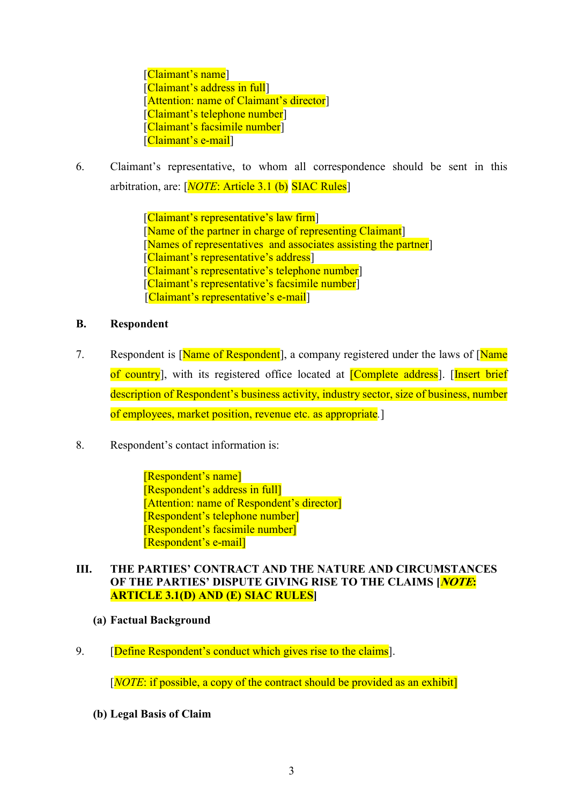[Claimant's name] [Claimant's address in full] [Attention: name of Claimant's director] [Claimant's telephone number] [Claimant's facsimile number] [Claimant's e-mail]

6. Claimant's representative, to whom all correspondence should be sent in this arbitration, are:  $[NOTE: Article 3.1 (b) SLAC Rules]$ 

> [Claimant's representative's law firm] [Name of the partner in charge of representing Claimant] [Names of representatives and associates assisting the partner] [Claimant's representative's address] [Claimant's representative's telephone number] [Claimant's representative's facsimile number] [Claimant's representative's e-mail]

#### B. Respondent

- 7. Respondent is [Name of Respondent], a company registered under the laws of [Name] of country], with its registered office located at [Complete address]. [Insert brief description of Respondent's business activity, industry sector, size of business, number of employees, market position, revenue etc. as appropriate.]
- 8. Respondent's contact information is:

[Respondent's name] [Respondent's address in full] [Attention: name of Respondent's director] [Respondent's telephone number] [Respondent's facsimile number] [Respondent's e-mail]

### III. THE PARTIES' CONTRACT AND THE NATURE AND CIRCUMSTANCES OF THE PARTIES' DISPUTE GIVING RISE TO THE CLAIMS [*NOTE*: ARTICLE 3.1(D) AND (E) SIAC RULES]

- (a) Factual Background
- 9. **[Define Respondent's conduct which gives rise to the claims].**

 $[NOTE:$  if possible, a copy of the contract should be provided as an exhibit

(b) Legal Basis of Claim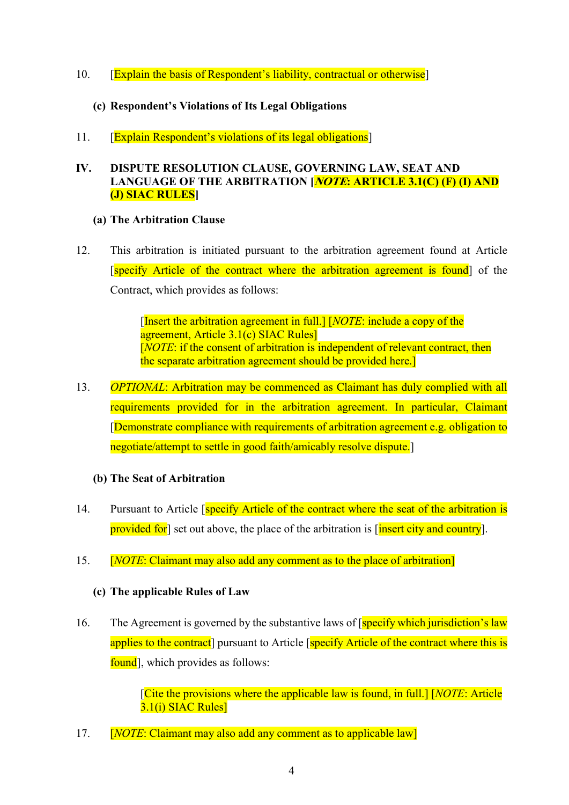10. **[Explain the basis of Respondent's liability, contractual or otherwise]** 

## (c) Respondent's Violations of Its Legal Obligations

11. [Explain Respondent's violations of its legal obligations]

### IV. DISPUTE RESOLUTION CLAUSE, GOVERNING LAW, SEAT AND LANGUAGE OF THE ARBITRATION **MOTE:** ARTICLE 3.1(C) (F) (I) AND (J) SIAC RULES]

#### (a) The Arbitration Clause

12. This arbitration is initiated pursuant to the arbitration agreement found at Article [specify Article of the contract where the arbitration agreement is found] of the Contract, which provides as follows:

> [Insert the arbitration agreement in full.] [NOTE: include a copy of the agreement, Article 3.1(c) SIAC Rules] [NOTE: if the consent of arbitration is independent of relevant contract, then the separate arbitration agreement should be provided here.]

13. OPTIONAL: Arbitration may be commenced as Claimant has duly complied with all requirements provided for in the arbitration agreement. In particular, Claimant [Demonstrate compliance with requirements of arbitration agreement e.g. obligation to negotiate/attempt to settle in good faith/amicably resolve dispute.]

#### (b) The Seat of Arbitration

- 14. Pursuant to Article *specify Article of the contract where the seat of the arbitration is* provided for set out above, the place of the arbitration is [insert city and country].
- 15. **[NOTE: Claimant may also add any comment as to the place of arbitration]**

## (c) The applicable Rules of Law

16. The Agreement is governed by the substantive laws of [specify which jurisdiction's law applies to the contract pursuant to Article [specify Article of the contract where this is found, which provides as follows:

> ${\rm [Cite\ the\ provisions\ where\ the\ applicable\ law\ is\ found,\ in\ full\ J\ [NOTE: Article}$ 3.1(i) SIAC Rules]

17. **[NOTE: Claimant may also add any comment as to applicable law]**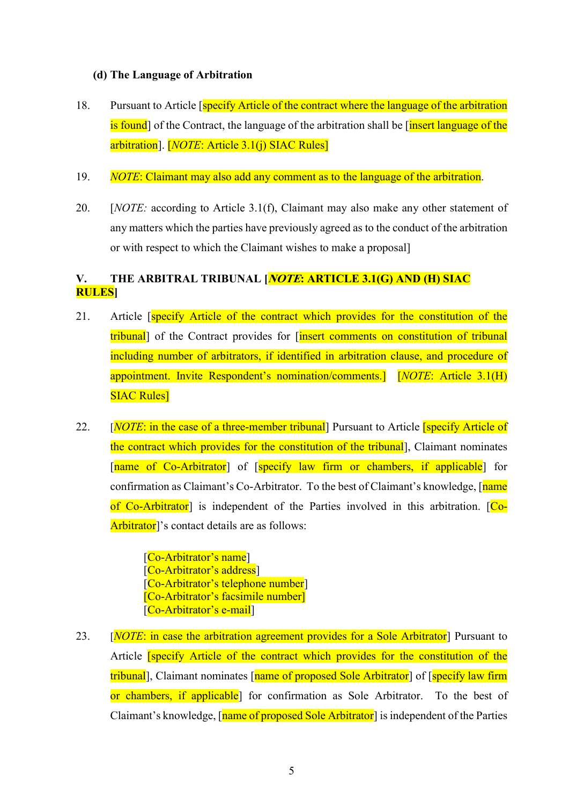#### (d) The Language of Arbitration

- 18. Pursuant to Article [specify Article of the contract where the language of the arbitration is found] of the Contract, the language of the arbitration shall be linsert language of the arbitration]. [NOTE: Article 3.1(j) SIAC Rules]
- 19. NOTE: Claimant may also add any comment as to the language of the arbitration.
- 20. [*NOTE:* according to Article 3.1(f), Claimant may also make any other statement of any matters which the parties have previously agreed as to the conduct of the arbitration or with respect to which the Claimant wishes to make a proposal]

## V. THE ARBITRAL TRIBUNAL [*NOTE*: ARTICLE 3.1(G) AND (H) SIAC RULES]

- 21. Article [specify Article of the contract which provides for the constitution of the tribunal] of the Contract provides for *[insert comments on constitution of tribunal* including number of arbitrators, if identified in arbitration clause, and procedure of appointment. Invite Respondent's nomination/comments.] [NOTE: Article 3.1(H) SIAC Rules]
- 22. [NOTE: in the case of a three-member tribunal] Pursuant to Article **[specify Article of** the contract which provides for the constitution of the tribunal], Claimant nominates [name of Co-Arbitrator] of [specify law firm or chambers, if applicable] for confirmation as Claimant's Co-Arbitrator. To the best of Claimant's knowledge, [name] of Co-Arbitrator] is independent of the Parties involved in this arbitration. [Co-Arbitrator<sup>'</sup>'s contact details are as follows:

[Co-Arbitrator's name] [Co-Arbitrator's address] [Co-Arbitrator's telephone number] [Co-Arbitrator's facsimile number] [Co-Arbitrator's e-mail]

23. [*NOTE:* in case the arbitration agreement provides for a Sole Arbitrator<sup>]</sup> Pursuant to Article [specify Article of the contract which provides for the constitution of the tribunal], Claimant nominates [name of proposed Sole Arbitrator] of [specify law firm] or chambers, if applicable] for confirmation as Sole Arbitrator. To the best of Claimant's knowledge, [name of proposed Sole Arbitrator] is independent of the Parties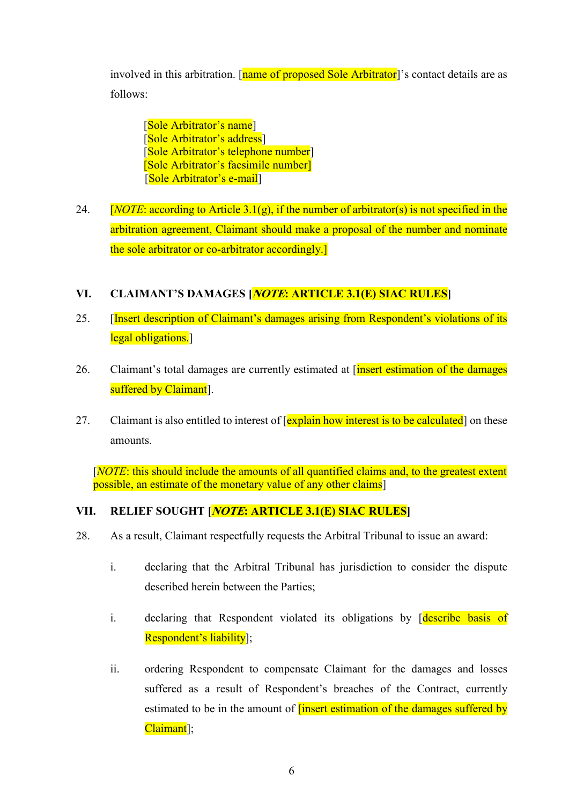involved in this arbitration. [name of proposed Sole Arbitrator]'s contact details are as follows:

[Sole Arbitrator's name] [Sole Arbitrator's address] [Sole Arbitrator's telephone number] [Sole Arbitrator's facsimile number] [Sole Arbitrator's e-mail]

24. [*NOTE: according to Article 3.1(g), if the number of arbitrator(s) is not specified in the* arbitration agreement, Claimant should make a proposal of the number and nominate the sole arbitrator or co-arbitrator accordingly.]

## VI. CLAIMANT'S DAMAGES [NOTE: ARTICLE 3.1(E) SIAC RULES]

- 25. [Insert description of Claimant's damages arising from Respondent's violations of its legal obligations.
- 26. Claimant's total damages are currently estimated at  $\frac{1}{\text{insert estimation of the damages}}$ suffered by Claimant<sup>]</sup>.
- 27. Claimant is also entitled to interest of [explain how interest is to be calculated] on these amounts.

[NOTE: this should include the amounts of all quantified claims and, to the greatest extent possible, an estimate of the monetary value of any other claims]

## VII. RELIEF SOUGHT [*NOTE*: ARTICLE 3.1(E) SIAC RULES]

- 28. As a result, Claimant respectfully requests the Arbitral Tribunal to issue an award:
	- i. declaring that the Arbitral Tribunal has jurisdiction to consider the dispute described herein between the Parties;
	- i. declaring that Respondent violated its obligations by *describe basis* of Respondent's liability];
	- ii. ordering Respondent to compensate Claimant for the damages and losses suffered as a result of Respondent's breaches of the Contract, currently estimated to be in the amount of *linsert* estimation of the damages suffered by Claimant<sup>]</sup>;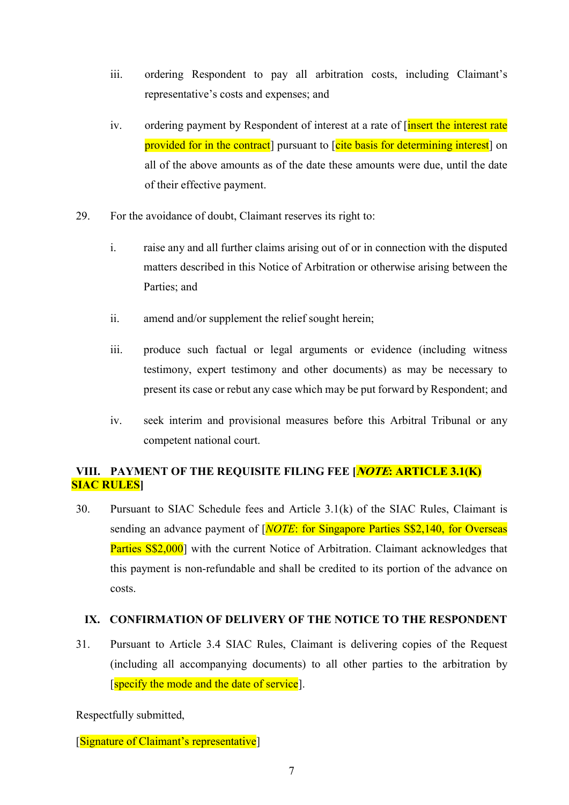- iii. ordering Respondent to pay all arbitration costs, including Claimant's representative's costs and expenses; and
- iv. ordering payment by Respondent of interest at a rate of *[insert the interest rate* provided for in the contract] pursuant to [cite basis for determining interest] on all of the above amounts as of the date these amounts were due, until the date of their effective payment.
- 29. For the avoidance of doubt, Claimant reserves its right to:
	- i. raise any and all further claims arising out of or in connection with the disputed matters described in this Notice of Arbitration or otherwise arising between the Parties; and
	- ii. amend and/or supplement the relief sought herein;
	- iii. produce such factual or legal arguments or evidence (including witness testimony, expert testimony and other documents) as may be necessary to present its case or rebut any case which may be put forward by Respondent; and
	- iv. seek interim and provisional measures before this Arbitral Tribunal or any competent national court.

### VIII. PAYMENT OF THE REQUISITE FILING FEE [*NOTE*: ARTICLE 3.1(K) SIAC RULES]

30. Pursuant to SIAC Schedule fees and Article 3.1(k) of the SIAC Rules, Claimant is sending an advance payment of [*NOTE*: for Singapore Parties S\$2,140, for Overseas Parties S\$2,000] with the current Notice of Arbitration. Claimant acknowledges that this payment is non-refundable and shall be credited to its portion of the advance on costs.

#### IX. CONFIRMATION OF DELIVERY OF THE NOTICE TO THE RESPONDENT

31. Pursuant to Article 3.4 SIAC Rules, Claimant is delivering copies of the Request (including all accompanying documents) to all other parties to the arbitration by [specify the mode and the date of service].

Respectfully submitted,

[Signature of Claimant's representative]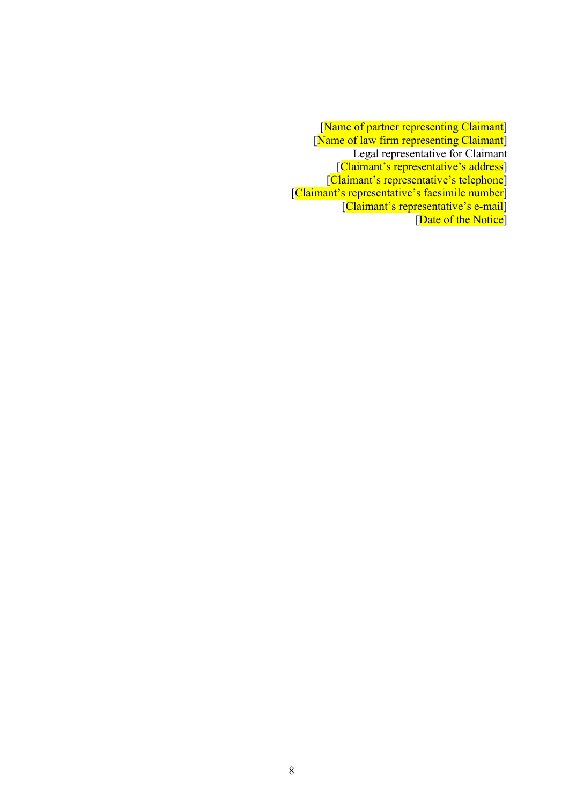[Name of partner representing Claimant] [Name of law firm representing Claimant] Legal representative for Claimant [Claimant's representative's address] [Claimant's representative's telephone] [Claimant's representative's facsimile number] [Claimant's representative's e-mail] [Date of the Notice]